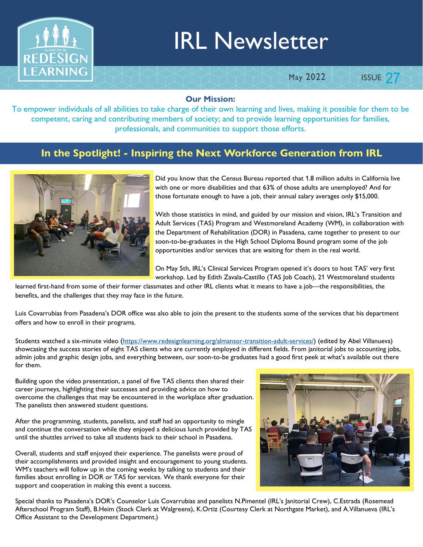

# IRL Newsletter

#### May 2022

**ISSUE 27** 

#### Our Mission:

To empower individuals of all abilities to take charge of their own learning and lives, making it possible for them to be competent, caring and contributing members of society; and to provide learning opportunities for families, professionals, and communities to support those efforts.

#### In the Spotlight! - Inspiring the Next Workforce Generation from IRL



Did you know that the Census Bureau reported that 1.8 million adults in California live with one or more disabilities and that 63% of those adults are unemployed? And for those fortunate enough to have a job, their annual salary averages only \$15,000.

With those statistics in mind, and guided by our mission and vision, IRL's Transition and Adult Services (TAS) Program and Westmoreland Academy (WM), in collaboration with the Department of Rehabilitation (DOR) in Pasadena, came together to present to our soon-to-be-graduates in the High School Diploma Bound program some of the job opportunities and/or services that are waiting for them in the real world.

On May 5th, IRL's Clinical Services Program opened it's doors to host TAS' very first workshop. Led by Edith Zavala-Castillo (TAS Job Coach), 21 Westmoreland students

learned first-hand from some of their former classmates and other IRL clients what it means to have a job—the responsibilities, the benefits, and the challenges that they may face in the future.

Luis Covarrubias from Pasadena's DOR office was also able to join the present to the students some of the services that his department offers and how to enroll in their programs.

Students watched a six-minute video (https://www.redesignlearning.org/almansor-transition-adult-services/) (edited by Abel Villanueva) showcasing the success stories of eight TAS clients who are currently employed in different fields. From janitorial jobs to accounting jobs, admin jobs and graphic design jobs, and everything between, our soon-to-be graduates had a good first peek at what's available out there for them.

Building upon the video presentation, a panel of five TAS clients then shared their career journeys, highlighting their successes and providing advice on how to overcome the challenges that may be encountered in the workplace after graduation. The panelists then answered student questions.

After the programming, students, panelists, and staff had an opportunity to mingle and continue the conversation while they enjoyed a delicious lunch provided by TAS until the shuttles arrived to take all students back to their school in Pasadena.

Overall, students and staff enjoyed their experience. The panelists were proud of their accomplishments and provided insight and encouragement to young students. WM's teachers will follow up in the coming weeks by talking to students and their families about enrolling in DOR or TAS for services. We thank everyone for their support and cooperation in making this event a success.



Special thanks to Pasadena's DOR's Counselor Luis Covarrubias and panelists N.Pimentel (IRL's Janitorial Crew), C.Estrada (Rosemead Afterschool Program Staff), B.Heim (Stock Clerk at Walgreens), K.Ortiz (Courtesy Clerk at Northgate Market), and A.Villanueva (IRL's Office Assistant to the Development Department.)